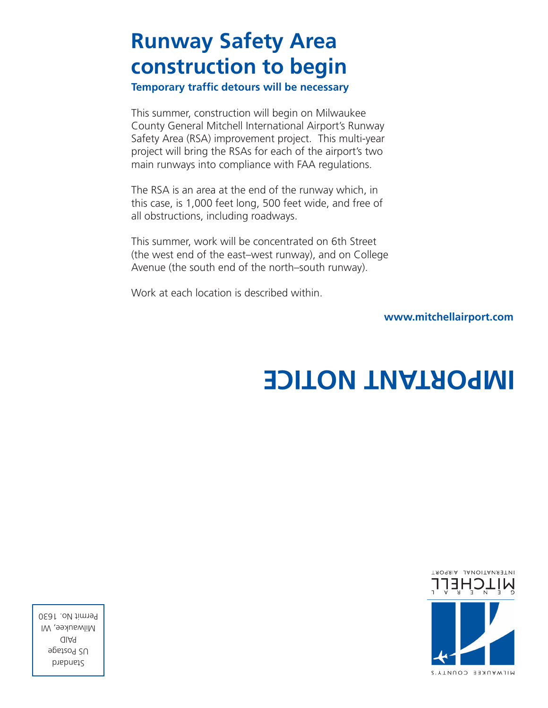## **Runway Safety Area construction to begin**

## **Temporary traffic detours will be necessary**

This summer, construction will begin on Milwaukee County General Mitchell International Airport's Runway Safety Area (RSA) improvement project. This multi-year project will bring the RSAs for each of the airport's two main runways into compliance with FAA regulations.

The RSA is an area at the end of the runway which, in this case, is 1,000 feet long, 500 feet wide, and free of all obstructions, including roadways.

This summer, work will be concentrated on 6th Street (the west end of the east–west runway), and on College Avenue (the south end of the north–south runway).

Work at each location is described within.

## **www.mitchellairport.com**

# **IMPORTANT NOTICE**



Standard US Postage PAID Milwaukee, WI Permit No. 1630